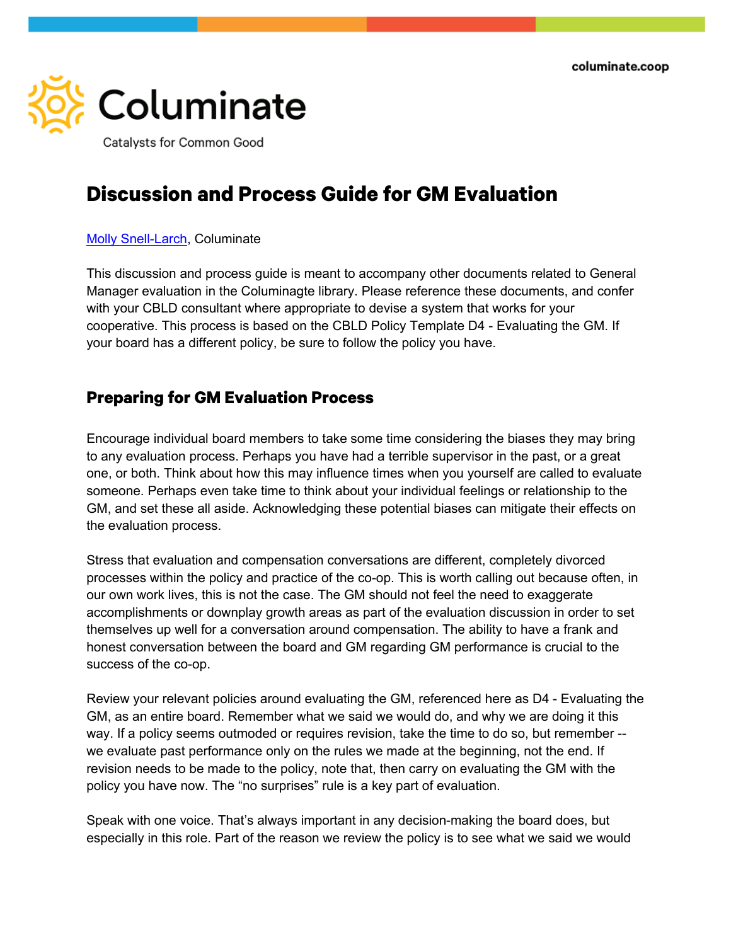

## **Discussion and Process Guide for GM Evaluation**

## Molly Snell-Larch, Columinate

This discussion and process guide is meant to accompany other documents related to General Manager evaluation in the Columinagte library. Please reference these documents, and confer with your CBLD consultant where appropriate to devise a system that works for your cooperative. This process is based on the CBLD Policy Template D4 - Evaluating the GM. If your board has a different policy, be sure to follow the policy you have.

## **Preparing for GM Evaluation Process**

Encourage individual board members to take some time considering the biases they may bring to any evaluation process. Perhaps you have had a terrible supervisor in the past, or a great one, or both. Think about how this may influence times when you yourself are called to evaluate someone. Perhaps even take time to think about your individual feelings or relationship to the GM, and set these all aside. Acknowledging these potential biases can mitigate their effects on the evaluation process.

Stress that evaluation and compensation conversations are different, completely divorced processes within the policy and practice of the co-op. This is worth calling out because often, in our own work lives, this is not the case. The GM should not feel the need to exaggerate accomplishments or downplay growth areas as part of the evaluation discussion in order to set themselves up well for a conversation around compensation. The ability to have a frank and honest conversation between the board and GM regarding GM performance is crucial to the success of the co-op.

Review your relevant policies around evaluating the GM, referenced here as D4 - Evaluating the GM, as an entire board. Remember what we said we would do, and why we are doing it this way. If a policy seems outmoded or requires revision, take the time to do so, but remember - we evaluate past performance only on the rules we made at the beginning, not the end. If revision needs to be made to the policy, note that, then carry on evaluating the GM with the policy you have now. The "no surprises" rule is a key part of evaluation.

Speak with one voice. That's always important in any decision-making the board does, but especially in this role. Part of the reason we review the policy is to see what we said we would